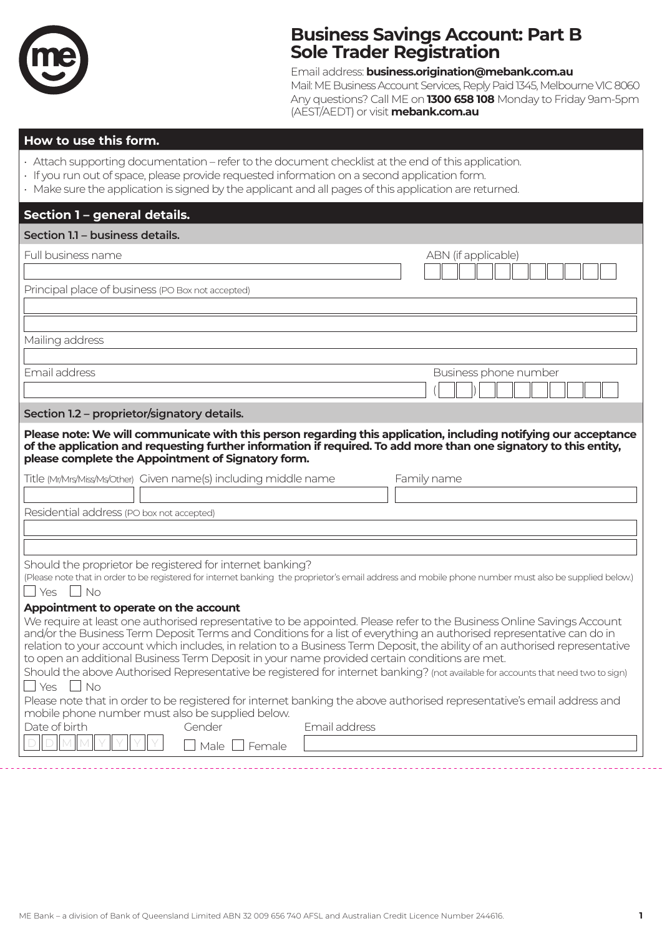

# **Business Savings Account: Part B Sole Trader Registration**

Email address: **business.origination@mebank.com.au**

Mail: ME Business Account Services, Reply Paid 1345, Melbourne VIC 8060 Any questions? Call ME on **1300 658 108** Monday to Friday 9am-5pm (AEST/AEDT) or visit **mebank.com.au**

## **How to use this form.**

- Attach supporting documentation refer to the document checklist at the end of this application.
- If you run out of space, please provide requested information on a second application form.
- Make sure the application is signed by the applicant and all pages of this application are returned.

| Section 1 - general details.                                                                                                                                                                                                                                                                                                                                                                                                                                                                                                                                                                                                                                                                                                                                                                                                                                                                                                            |  |  |
|-----------------------------------------------------------------------------------------------------------------------------------------------------------------------------------------------------------------------------------------------------------------------------------------------------------------------------------------------------------------------------------------------------------------------------------------------------------------------------------------------------------------------------------------------------------------------------------------------------------------------------------------------------------------------------------------------------------------------------------------------------------------------------------------------------------------------------------------------------------------------------------------------------------------------------------------|--|--|
| Section 1.1 - business details.                                                                                                                                                                                                                                                                                                                                                                                                                                                                                                                                                                                                                                                                                                                                                                                                                                                                                                         |  |  |
| Full business name<br>ABN (if applicable)                                                                                                                                                                                                                                                                                                                                                                                                                                                                                                                                                                                                                                                                                                                                                                                                                                                                                               |  |  |
| Principal place of business (PO Box not accepted)                                                                                                                                                                                                                                                                                                                                                                                                                                                                                                                                                                                                                                                                                                                                                                                                                                                                                       |  |  |
| Mailing address                                                                                                                                                                                                                                                                                                                                                                                                                                                                                                                                                                                                                                                                                                                                                                                                                                                                                                                         |  |  |
| Email address<br>Business phone number                                                                                                                                                                                                                                                                                                                                                                                                                                                                                                                                                                                                                                                                                                                                                                                                                                                                                                  |  |  |
| Section 1.2 - proprietor/signatory details.                                                                                                                                                                                                                                                                                                                                                                                                                                                                                                                                                                                                                                                                                                                                                                                                                                                                                             |  |  |
| Please note: We will communicate with this person regarding this application, including notifying our acceptance<br>of the application and requesting further information if required. To add more than one signatory to this entity,<br>please complete the Appointment of Signatory form.                                                                                                                                                                                                                                                                                                                                                                                                                                                                                                                                                                                                                                             |  |  |
| Title (Mr/Mrs/Miss/Ms/Other) Given name(s) including middle name<br>Family name                                                                                                                                                                                                                                                                                                                                                                                                                                                                                                                                                                                                                                                                                                                                                                                                                                                         |  |  |
| Residential address (PO box not accepted)                                                                                                                                                                                                                                                                                                                                                                                                                                                                                                                                                                                                                                                                                                                                                                                                                                                                                               |  |  |
|                                                                                                                                                                                                                                                                                                                                                                                                                                                                                                                                                                                                                                                                                                                                                                                                                                                                                                                                         |  |  |
| Should the proprietor be registered for internet banking?<br>(Please note that in order to be registered for internet banking the proprietor's email address and mobile phone number must also be supplied below.)<br>Yes $\Box$ No                                                                                                                                                                                                                                                                                                                                                                                                                                                                                                                                                                                                                                                                                                     |  |  |
| Appointment to operate on the account<br>We require at least one authorised representative to be appointed. Please refer to the Business Online Savings Account<br>and/or the Business Term Deposit Terms and Conditions for a list of everything an authorised representative can do in<br>relation to your account which includes, in relation to a Business Term Deposit, the ability of an authorised representative<br>to open an additional Business Term Deposit in your name provided certain conditions are met.<br>Should the above Authorised Representative be registered for internet banking? (not available for accounts that need two to sign)<br>$Yes$    <br><b>No</b><br>Please note that in order to be registered for internet banking the above authorised representative's email address and<br>mobile phone number must also be supplied below.<br>Date of birth<br>Email address<br>Gender<br>Male<br>l Female |  |  |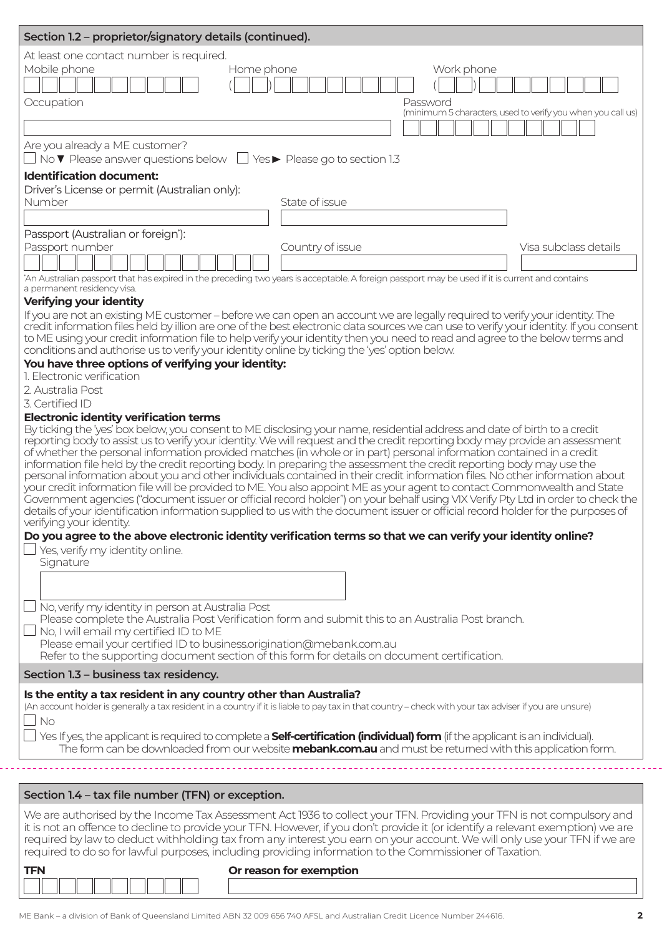| Section 1.2 - proprietor/signatory details (continued).                                                                                                                                                                                                               |                                                             |  |  |
|-----------------------------------------------------------------------------------------------------------------------------------------------------------------------------------------------------------------------------------------------------------------------|-------------------------------------------------------------|--|--|
| At least one contact number is required.                                                                                                                                                                                                                              |                                                             |  |  |
| Mobile phone<br>Home phone<br>Work phone                                                                                                                                                                                                                              |                                                             |  |  |
|                                                                                                                                                                                                                                                                       |                                                             |  |  |
| Occupation<br>Password                                                                                                                                                                                                                                                | (minimum 5 characters, used to verify you when you call us) |  |  |
|                                                                                                                                                                                                                                                                       |                                                             |  |  |
| Are you already a ME customer?                                                                                                                                                                                                                                        |                                                             |  |  |
| No $\nabla$ Please answer questions below $\Box$ Yes $\blacktriangleright$ Please go to section 1.3                                                                                                                                                                   |                                                             |  |  |
| <b>Identification document:</b>                                                                                                                                                                                                                                       |                                                             |  |  |
| Driver's License or permit (Australian only):<br>Number<br>State of issue                                                                                                                                                                                             |                                                             |  |  |
|                                                                                                                                                                                                                                                                       |                                                             |  |  |
| Passport (Australian or foreign*):                                                                                                                                                                                                                                    |                                                             |  |  |
| Passport number<br>Country of issue                                                                                                                                                                                                                                   | Visa subclass details                                       |  |  |
|                                                                                                                                                                                                                                                                       |                                                             |  |  |
| "An Australian passport that has expired in the preceding two years is acceptable. A foreign passport may be used if it is current and contains<br>a permanent residency visa.                                                                                        |                                                             |  |  |
| Verifying your identity                                                                                                                                                                                                                                               |                                                             |  |  |
| If you are not an existing ME customer – before we can open an account we are legally required to verify your identity. The<br>credit information files held by illion are one of the best electronic data sources we can use to verify your identity. If you consent |                                                             |  |  |
| to ME using your credit information file to help verify your identity then you need to read and agree to the below terms and                                                                                                                                          |                                                             |  |  |
| conditions and authorise us to verify your identity online by ticking the 'yes' option below.<br>You have three options of verifying your identity:                                                                                                                   |                                                             |  |  |
| 1. Electronic verification                                                                                                                                                                                                                                            |                                                             |  |  |
| 2. Australia Post                                                                                                                                                                                                                                                     |                                                             |  |  |
| 3. Certified ID<br><b>Electronic identity verification terms</b>                                                                                                                                                                                                      |                                                             |  |  |
| By ticking the 'yes' box below, you consent to ME disclosing your name, residential address and date of birth to a credit                                                                                                                                             |                                                             |  |  |
| reporting body to assist us to verify your identity. We will request and the credit reporting body may provide an assessment<br>of whether the personal information provided matches (in whole or in part) personal information contained in a credit                 |                                                             |  |  |
| information file held by the credit reporting body. In preparing the assessment the credit reporting body may use the                                                                                                                                                 |                                                             |  |  |
| personal information about you and other individuals contained in their credit information files. No other information about<br>your credit information file will be provided to ME. You also appoint ME as your agent to contact Commonwealth and State              |                                                             |  |  |
| .<br>Government agencies ("document issuer or official record holder") on your behalf using VIX Verify Pty Ltd in order to check the                                                                                                                                  |                                                             |  |  |
| details of your identification information supplied to us with the document issuer or official record holder for the purposes of<br>verifying your identity.                                                                                                          |                                                             |  |  |
| Do you agree to the above electronic identity verification terms so that we can verify your identity online?                                                                                                                                                          |                                                             |  |  |
| Yes, verify my identity online.                                                                                                                                                                                                                                       |                                                             |  |  |
| Signature                                                                                                                                                                                                                                                             |                                                             |  |  |
|                                                                                                                                                                                                                                                                       |                                                             |  |  |
| No, verify my identity in person at Australia Post                                                                                                                                                                                                                    |                                                             |  |  |
| Please complete the Australia Post Verification form and submit this to an Australia Post branch.                                                                                                                                                                     |                                                             |  |  |
| No, I will email my certified ID to ME<br>Please email your certified ID to business.origination@mebank.com.au                                                                                                                                                        |                                                             |  |  |
| Refer to the supporting document section of this form for details on document certification.                                                                                                                                                                          |                                                             |  |  |
| Section 1.3 - business tax residency.                                                                                                                                                                                                                                 |                                                             |  |  |
| Is the entity a tax resident in any country other than Australia?                                                                                                                                                                                                     |                                                             |  |  |
| (An account holder is generally a tax resident in a country if it is liable to pay tax in that country - check with your tax adviser if you are unsure)<br><b>No</b>                                                                                                  |                                                             |  |  |
| Yes If yes, the applicant is required to complete a <b>Self-certification (individual) form</b> (if the applicant is an individual).                                                                                                                                  |                                                             |  |  |
| The form can be downloaded from our website mebank.com.au and must be returned with this application form.                                                                                                                                                            |                                                             |  |  |
|                                                                                                                                                                                                                                                                       |                                                             |  |  |
| Section 1.4 - tax file number (TFN) or exception.                                                                                                                                                                                                                     |                                                             |  |  |
| We are authorised by the Income Tax Assessment Act 1936 to collect your TFN. Providing your TFN is not compulsory and                                                                                                                                                 |                                                             |  |  |
| it is not an offence to decline to provide your TFN. However, if you don't provide it (or identify a relevant exemption) we are                                                                                                                                       |                                                             |  |  |
| required by law to deduct withholding tax from any interest you earn on your account. We will only use your TFN if we are<br>required to do so for lawful purposes, including providing information to the Commissioner of Taxation.                                  |                                                             |  |  |
| <b>TFN</b><br>Or reason for exemption                                                                                                                                                                                                                                 |                                                             |  |  |
|                                                                                                                                                                                                                                                                       |                                                             |  |  |
|                                                                                                                                                                                                                                                                       |                                                             |  |  |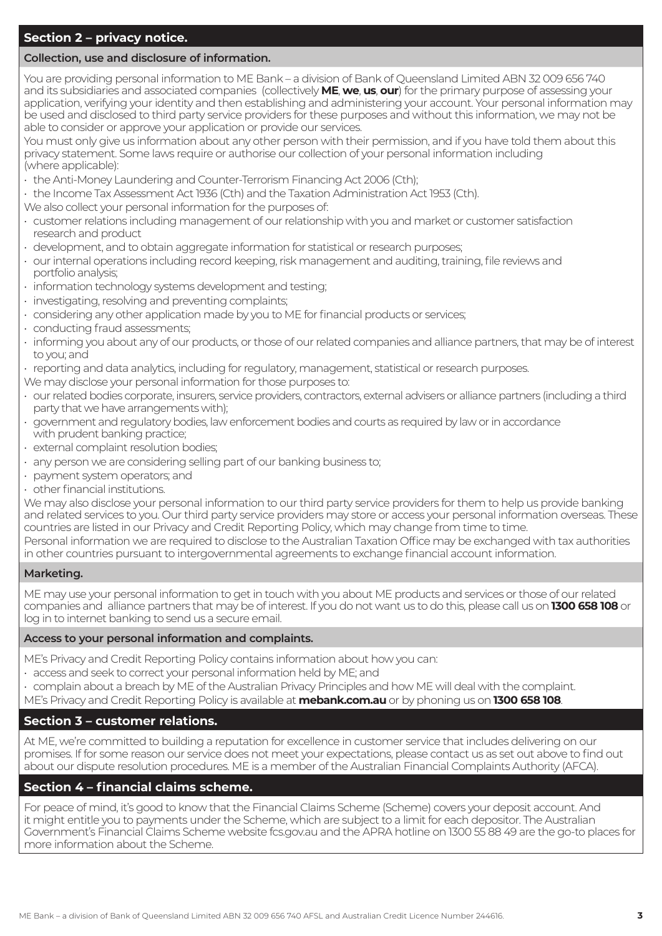## **Section 2 – privacy notice.**

#### **Collection, use and disclosure of information.**

You are providing personal information to ME Bank – a division of Bank of Queensland Limited ABN 32 009 656 740 and its subsidiaries and associated companies (collectively **ME**, **we**, **us**, **our**) for the primary purpose of assessing your application, verifying your identity and then establishing and administering your account. Your personal information may be used and disclosed to third party service providers for these purposes and without this information, we may not be able to consider or approve your application or provide our services.

You must only give us information about any other person with their permission, and if you have told them about this privacy statement. Some laws require or authorise our collection of your personal information including (where applicable):

- the Anti-Money Laundering and Counter-Terrorism Financing Act 2006 (Cth);
- the Income Tax Assessment Act 1936 (Cth) and the Taxation Administration Act 1953 (Cth).
- We also collect your personal information for the purposes of:
- customer relations including management of our relationship with you and market or customer satisfaction research and product
- development, and to obtain aggregate information for statistical or research purposes;
- our internal operations including record keeping, risk management and auditing, training, file reviews and portfolio analysis;
- information technology systems development and testing;
- investigating, resolving and preventing complaints;
- considering any other application made by you to ME for financial products or services;
- conducting fraud assessments;
- informing you about any of our products, or those of our related companies and alliance partners, that may be of interest to you; and
- reporting and data analytics, including for regulatory, management, statistical or research purposes.
- We may disclose your personal information for those purposes to:
- our related bodies corporate, insurers, service providers, contractors, external advisers or alliance partners (including a third party that we have arrangements with);
- government and regulatory bodies, law enforcement bodies and courts as required by law or in accordance with prudent banking practice;
- external complaint resolution bodies;
- any person we are considering selling part of our banking business to;
- payment system operators; and
- other financial institutions.

We may also disclose your personal information to our third party service providers for them to help us provide banking and related services to you. Our third party service providers may store or access your personal information overseas. These countries are listed in our Privacy and Credit Reporting Policy, which may change from time to time.

Personal information we are required to disclose to the Australian Taxation Office may be exchanged with tax authorities in other countries pursuant to intergovernmental agreements to exchange financial account information.

#### **Marketing.**

ME may use your personal information to get in touch with you about ME products and services or those of our related companies and alliance partners that may be of interest. If you do not want us to do this, please call us on **1300 658 108** or log in to internet banking to send us a secure email.

#### **Access to your personal information and complaints.**

- ME's Privacy and Credit Reporting Policy contains information about how you can:
- access and seek to correct your personal information held by ME; and
- complain about a breach by ME of the Australian Privacy Principles and how ME will deal with the complaint.
- ME's Privacy and Credit Reporting Policy is available at **mebank.com.au** or by phoning us on **1300 658 108**.

### **Section 3 – customer relations.**

At ME, we're committed to building a reputation for excellence in customer service that includes delivering on our promises. If for some reason our service does not meet your expectations, please contact us as set out above to find out about our dispute resolution procedures. ME is a member of the Australian Financial Complaints Authority (AFCA).

### **Section 4 – financial claims scheme.**

For peace of mind, it's good to know that the Financial Claims Scheme (Scheme) covers your deposit account. And it might entitle you to payments under the Scheme, which are subject to a limit for each depositor. The Australian Government's Financial Claims Scheme website fcs.gov.au and the APRA hotline on 1300 55 88 49 are the go-to places for more information about the Scheme.